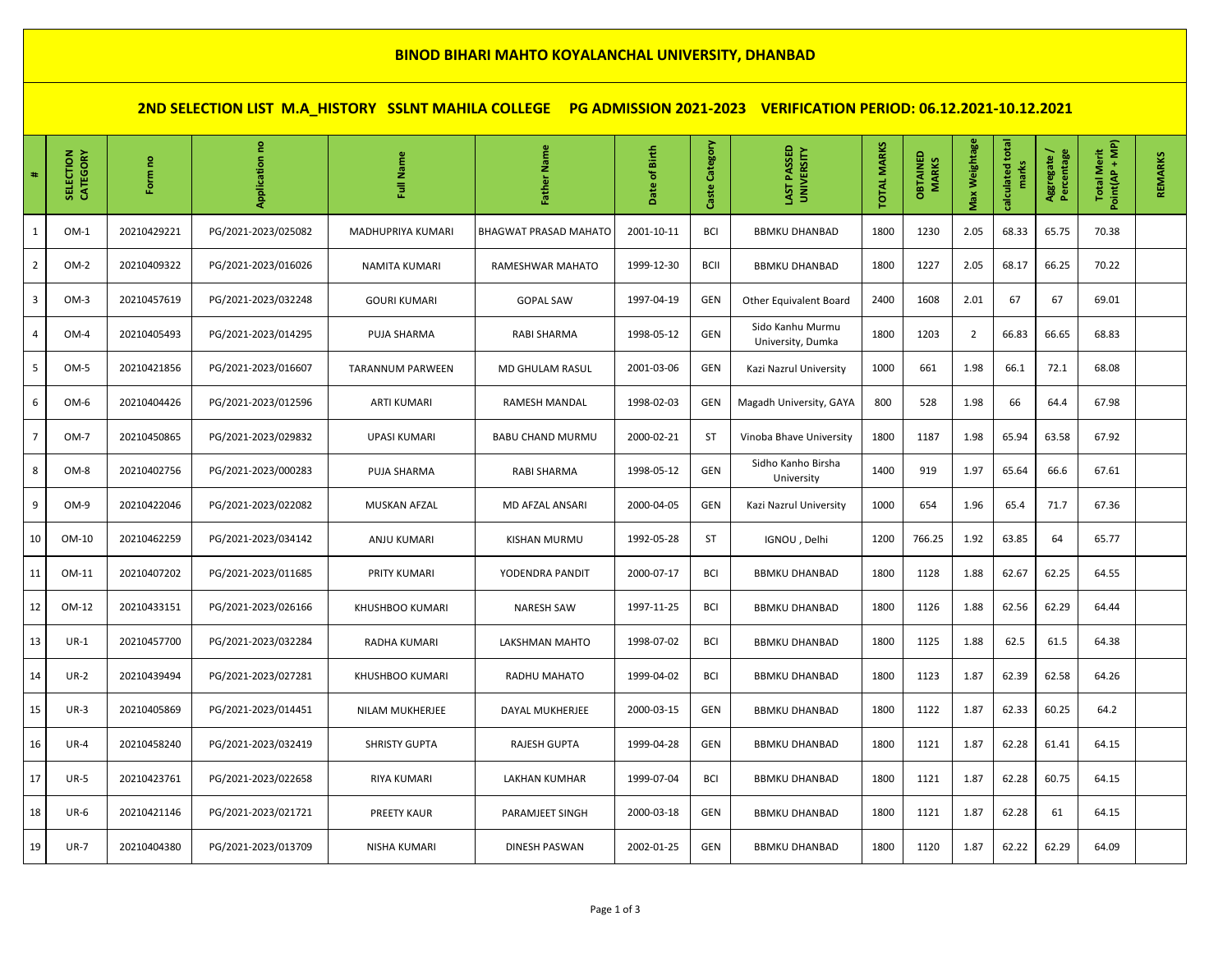## **BINOD BIHARI MAHTO KOYALANCHAL UNIVERSITY, DHANBAD**

**2ND SELECTION LIST M.A\_HISTORY SSLNT MAHILA COLLEGE PG ADMISSION 2021-2023 VERIFICATION PERIOD: 06.12.2021-10.12.2021**

| $\ddagger$ | SELECTION<br>CATEGORY | Form no     |                     | Name<br>ã               | Father Name                  | Date of Birth | Category<br>Caste | LAST PASSED<br>UNIVERSITY             | <b>TOTAL MARKS</b> | OBTAINED<br><b>MARKS</b> | Max Weightage  | calculated total<br>marks | Percentage<br>Aggregate / | Point(AP + MP)<br><b>Total Merit</b> | REMARKS |
|------------|-----------------------|-------------|---------------------|-------------------------|------------------------------|---------------|-------------------|---------------------------------------|--------------------|--------------------------|----------------|---------------------------|---------------------------|--------------------------------------|---------|
| 1          | $OM-1$                | 20210429221 | PG/2021-2023/025082 | MADHUPRIYA KUMARI       | <b>BHAGWAT PRASAD MAHATO</b> | 2001-10-11    | BCI               | <b>BBMKU DHANBAD</b>                  | 1800               | 1230                     | 2.05           | 68.33                     | 65.75                     | 70.38                                |         |
| 2          | OM-2                  | 20210409322 | PG/2021-2023/016026 | NAMITA KUMARI           | RAMESHWAR MAHATO             | 1999-12-30    | <b>BCII</b>       | <b>BBMKU DHANBAD</b>                  | 1800               | 1227                     | 2.05           | 68.17                     | 66.25                     | 70.22                                |         |
| 3          | $OM-3$                | 20210457619 | PG/2021-2023/032248 | <b>GOURI KUMARI</b>     | <b>GOPAL SAW</b>             | 1997-04-19    | GEN               | Other Equivalent Board                | 2400               | 1608                     | 2.01           | 67                        | 67                        | 69.01                                |         |
| 4          | OM-4                  | 20210405493 | PG/2021-2023/014295 | PUJA SHARMA             | RABI SHARMA                  | 1998-05-12    | GEN               | Sido Kanhu Murmu<br>University, Dumka | 1800               | 1203                     | $\overline{2}$ | 66.83                     | 66.65                     | 68.83                                |         |
| 5          | OM-5                  | 20210421856 | PG/2021-2023/016607 | <b>TARANNUM PARWEEN</b> | MD GHULAM RASUL              | 2001-03-06    | GEN               | Kazi Nazrul University                | 1000               | 661                      | 1.98           | 66.1                      | 72.1                      | 68.08                                |         |
| 6          | OM-6                  | 20210404426 | PG/2021-2023/012596 | <b>ARTI KUMARI</b>      | RAMESH MANDAL                | 1998-02-03    | GEN               | Magadh University, GAYA               | 800                | 528                      | 1.98           | 66                        | 64.4                      | 67.98                                |         |
| 7          | OM-7                  | 20210450865 | PG/2021-2023/029832 | UPASI KUMARI            | <b>BABU CHAND MURMU</b>      | 2000-02-21    | <b>ST</b>         | Vinoba Bhave University               | 1800               | 1187                     | 1.98           | 65.94                     | 63.58                     | 67.92                                |         |
| 8          | OM-8                  | 20210402756 | PG/2021-2023/000283 | PUJA SHARMA             | RABI SHARMA                  | 1998-05-12    | GEN               | Sidho Kanho Birsha<br>University      | 1400               | 919                      | 1.97           | 65.64                     | 66.6                      | 67.61                                |         |
| 9          | OM-9                  | 20210422046 | PG/2021-2023/022082 | MUSKAN AFZAL            | MD AFZAL ANSARI              | 2000-04-05    | GEN               | Kazi Nazrul University                | 1000               | 654                      | 1.96           | 65.4                      | 71.7                      | 67.36                                |         |
| 10         | OM-10                 | 20210462259 | PG/2021-2023/034142 | ANJU KUMARI             | <b>KISHAN MURMU</b>          | 1992-05-28    | ST                | IGNOU, Delhi                          | 1200               | 766.25                   | 1.92           | 63.85                     | 64                        | 65.77                                |         |
| 11         | OM-11                 | 20210407202 | PG/2021-2023/011685 | PRITY KUMARI            | YODENDRA PANDIT              | 2000-07-17    | BCI               | <b>BBMKU DHANBAD</b>                  | 1800               | 1128                     | 1.88           | 62.67                     | 62.25                     | 64.55                                |         |
| 12         | OM-12                 | 20210433151 | PG/2021-2023/026166 | KHUSHBOO KUMARI         | <b>NARESH SAW</b>            | 1997-11-25    | <b>BCI</b>        | <b>BBMKU DHANBAD</b>                  | 1800               | 1126                     | 1.88           | 62.56                     | 62.29                     | 64.44                                |         |
| 13         | $UR-1$                | 20210457700 | PG/2021-2023/032284 | RADHA KUMARI            | LAKSHMAN MAHTO               | 1998-07-02    | BCI               | <b>BBMKU DHANBAD</b>                  | 1800               | 1125                     | 1.88           | 62.5                      | 61.5                      | 64.38                                |         |
| 14         | $UR-2$                | 20210439494 | PG/2021-2023/027281 | KHUSHBOO KUMARI         | RADHU MAHATO                 | 1999-04-02    | BCI               | <b>BBMKU DHANBAD</b>                  | 1800               | 1123                     | 1.87           | 62.39                     | 62.58                     | 64.26                                |         |
| 15         | $UR-3$                | 20210405869 | PG/2021-2023/014451 | NILAM MUKHERJEE         | DAYAL MUKHERJEE              | 2000-03-15    | GEN               | <b>BBMKU DHANBAD</b>                  | 1800               | 1122                     | 1.87           | 62.33                     | 60.25                     | 64.2                                 |         |
| 16         | $UR-4$                | 20210458240 | PG/2021-2023/032419 | <b>SHRISTY GUPTA</b>    | RAJESH GUPTA                 | 1999-04-28    | GEN               | <b>BBMKU DHANBAD</b>                  | 1800               | 1121                     | 1.87           | 62.28                     | 61.41                     | 64.15                                |         |
| 17         | <b>UR-5</b>           | 20210423761 | PG/2021-2023/022658 | RIYA KUMARI             | LAKHAN KUMHAR                | 1999-07-04    | BCI               | <b>BBMKU DHANBAD</b>                  | 1800               | 1121                     | 1.87           | 62.28                     | 60.75                     | 64.15                                |         |
| 18         | $UR-6$                | 20210421146 | PG/2021-2023/021721 | PREETY KAUR             | PARAMJEET SINGH              | 2000-03-18    | <b>GEN</b>        | <b>BBMKU DHANBAD</b>                  | 1800               | 1121                     | 1.87           | 62.28                     | 61                        | 64.15                                |         |
| 19         | <b>UR-7</b>           | 20210404380 | PG/2021-2023/013709 | NISHA KUMARI            | DINESH PASWAN                | 2002-01-25    | GEN               | <b>BBMKU DHANBAD</b>                  | 1800               | 1120                     | 1.87           | 62.22                     | 62.29                     | 64.09                                |         |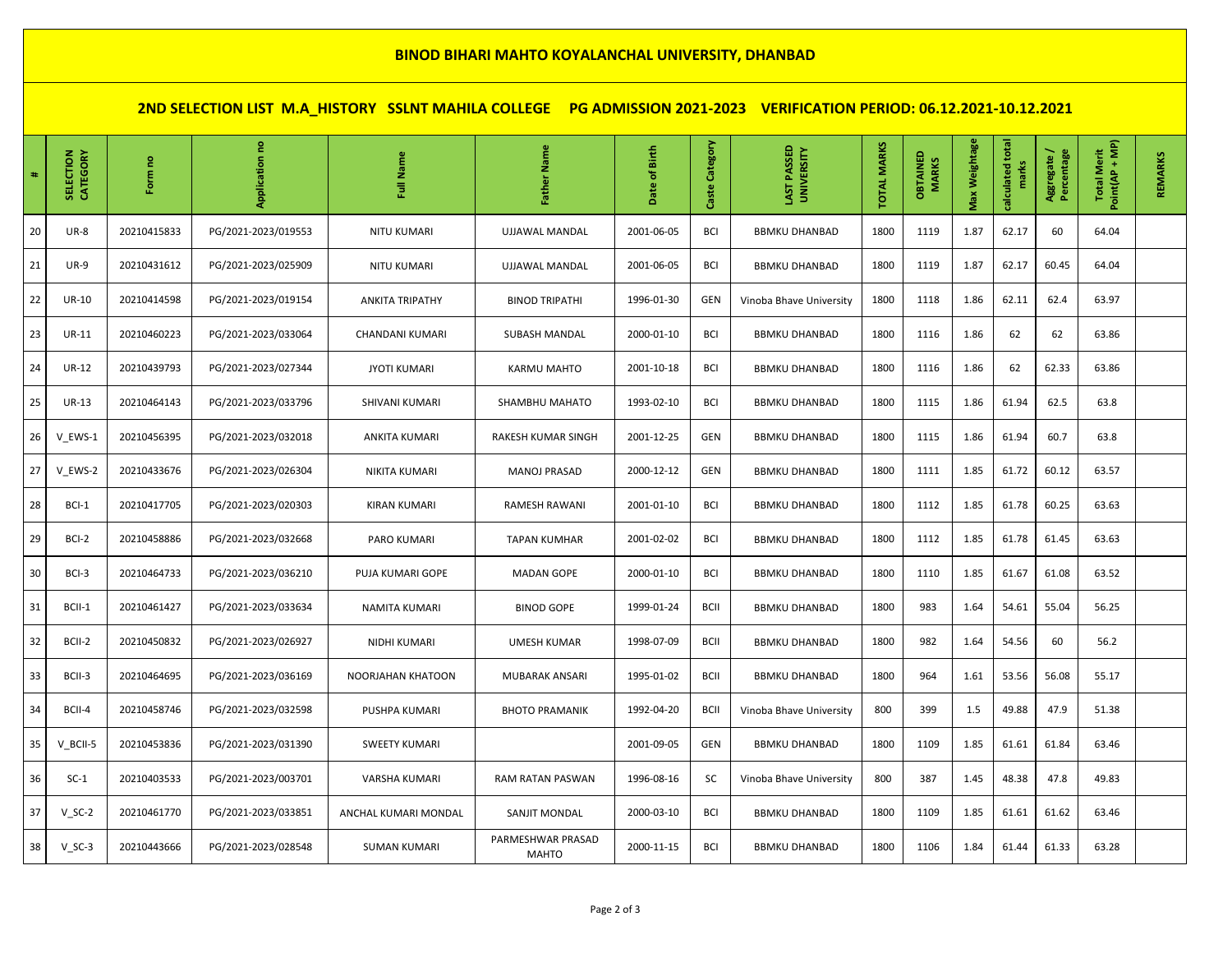## **BINOD BIHARI MAHTO KOYALANCHAL UNIVERSITY, DHANBAD**

**2ND SELECTION LIST M.A\_HISTORY SSLNT MAHILA COLLEGE PG ADMISSION 2021-2023 VERIFICATION PERIOD: 06.12.2021-10.12.2021**

| #  | CATEGORY<br>SELECTION | g<br>Form   | 틑                   | Name<br>ã              | Father Name                | Date of Birth | Category<br>Caste | LAST PASSED<br><b>UNIVERSITY</b> | <b>TOTAL MARKS</b> | OBTAINED<br><b>MARKS</b> | Max Weightage | calculated total<br>marks | Aggregate /<br>Percentage | Point(AP + MP)<br><b>Total Merit</b> | <b>REMARKS</b> |
|----|-----------------------|-------------|---------------------|------------------------|----------------------------|---------------|-------------------|----------------------------------|--------------------|--------------------------|---------------|---------------------------|---------------------------|--------------------------------------|----------------|
| 20 | <b>UR-8</b>           | 20210415833 | PG/2021-2023/019553 | NITU KUMARI            | UJJAWAL MANDAL             | 2001-06-05    | BCI               | <b>BBMKU DHANBAD</b>             | 1800               | 1119                     | 1.87          | 62.17                     | 60                        | 64.04                                |                |
| 21 | <b>UR-9</b>           | 20210431612 | PG/2021-2023/025909 | <b>NITU KUMARI</b>     | UJJAWAL MANDAL             | 2001-06-05    | <b>BCI</b>        | <b>BBMKU DHANBAD</b>             | 1800               | 1119                     | 1.87          | 62.17                     | 60.45                     | 64.04                                |                |
| 22 | <b>UR-10</b>          | 20210414598 | PG/2021-2023/019154 | <b>ANKITA TRIPATHY</b> | <b>BINOD TRIPATHI</b>      | 1996-01-30    | GEN               | Vinoba Bhave University          | 1800               | 1118                     | 1.86          | 62.11                     | 62.4                      | 63.97                                |                |
| 23 | <b>UR-11</b>          | 20210460223 | PG/2021-2023/033064 | CHANDANI KUMARI        | SUBASH MANDAL              | 2000-01-10    | BCI               | <b>BBMKU DHANBAD</b>             | 1800               | 1116                     | 1.86          | 62                        | 62                        | 63.86                                |                |
| 24 | UR-12                 | 20210439793 | PG/2021-2023/027344 | <b>JYOTI KUMARI</b>    | KARMU MAHTO                | 2001-10-18    | BCI               | <b>BBMKU DHANBAD</b>             | 1800               | 1116                     | 1.86          | 62                        | 62.33                     | 63.86                                |                |
| 25 | <b>UR-13</b>          | 20210464143 | PG/2021-2023/033796 | SHIVANI KUMARI         | SHAMBHU MAHATO             | 1993-02-10    | BCI               | <b>BBMKU DHANBAD</b>             | 1800               | 1115                     | 1.86          | 61.94                     | 62.5                      | 63.8                                 |                |
| 26 | V EWS-1               | 20210456395 | PG/2021-2023/032018 | ANKITA KUMARI          | RAKESH KUMAR SINGH         | 2001-12-25    | <b>GEN</b>        | <b>BBMKU DHANBAD</b>             | 1800               | 1115                     | 1.86          | 61.94                     | 60.7                      | 63.8                                 |                |
| 27 | V EWS-2               | 20210433676 | PG/2021-2023/026304 | NIKITA KUMARI          | <b>MANOJ PRASAD</b>        | 2000-12-12    | GEN               | <b>BBMKU DHANBAD</b>             | 1800               | 1111                     | 1.85          | 61.72                     | 60.12                     | 63.57                                |                |
| 28 | BCI-1                 | 20210417705 | PG/2021-2023/020303 | KIRAN KUMARI           | RAMESH RAWANI              | 2001-01-10    | BCI               | <b>BBMKU DHANBAD</b>             | 1800               | 1112                     | 1.85          | 61.78                     | 60.25                     | 63.63                                |                |
| 29 | BCI-2                 | 20210458886 | PG/2021-2023/032668 | PARO KUMARI            | <b>TAPAN KUMHAR</b>        | 2001-02-02    | BCI               | <b>BBMKU DHANBAD</b>             | 1800               | 1112                     | 1.85          | 61.78                     | 61.45                     | 63.63                                |                |
| 30 | BCI-3                 | 20210464733 | PG/2021-2023/036210 | PUJA KUMARI GOPE       | <b>MADAN GOPE</b>          | 2000-01-10    | BCI               | <b>BBMKU DHANBAD</b>             | 1800               | 1110                     | 1.85          | 61.67                     | 61.08                     | 63.52                                |                |
| 31 | BCII-1                | 20210461427 | PG/2021-2023/033634 | <b>NAMITA KUMARI</b>   | <b>BINOD GOPE</b>          | 1999-01-24    | <b>BCII</b>       | <b>BBMKU DHANBAD</b>             | 1800               | 983                      | 1.64          | 54.61                     | 55.04                     | 56.25                                |                |
| 32 | BCII-2                | 20210450832 | PG/2021-2023/026927 | NIDHI KUMARI           | <b>UMESH KUMAR</b>         | 1998-07-09    | <b>BCII</b>       | <b>BBMKU DHANBAD</b>             | 1800               | 982                      | 1.64          | 54.56                     | 60                        | 56.2                                 |                |
| 33 | BCII-3                | 20210464695 | PG/2021-2023/036169 | NOORJAHAN KHATOON      | MUBARAK ANSARI             | 1995-01-02    | <b>BCII</b>       | <b>BBMKU DHANBAD</b>             | 1800               | 964                      | 1.61          | 53.56                     | 56.08                     | 55.17                                |                |
| 34 | BCII-4                | 20210458746 | PG/2021-2023/032598 | <b>PUSHPA KUMARI</b>   | <b>BHOTO PRAMANIK</b>      | 1992-04-20    | <b>BCII</b>       | Vinoba Bhave University          | 800                | 399                      | $1.5\,$       | 49.88                     | 47.9                      | 51.38                                |                |
| 35 | V_BCII-5              | 20210453836 | PG/2021-2023/031390 | <b>SWEETY KUMARI</b>   |                            | 2001-09-05    | GEN               | <b>BBMKU DHANBAD</b>             | 1800               | 1109                     | 1.85          | 61.61                     | 61.84                     | 63.46                                |                |
| 36 | $SC-1$                | 20210403533 | PG/2021-2023/003701 | VARSHA KUMARI          | RAM RATAN PASWAN           | 1996-08-16    | SC                | Vinoba Bhave University          | 800                | 387                      | 1.45          | 48.38                     | 47.8                      | 49.83                                |                |
| 37 | $V_SC-2$              | 20210461770 | PG/2021-2023/033851 | ANCHAL KUMARI MONDAL   | SANJIT MONDAL              | 2000-03-10    | BCI               | <b>BBMKU DHANBAD</b>             | 1800               | 1109                     | 1.85          | 61.61                     | 61.62                     | 63.46                                |                |
| 38 | $V_SC-3$              | 20210443666 | PG/2021-2023/028548 | <b>SUMAN KUMARI</b>    | PARMESHWAR PRASAD<br>MAHTO | 2000-11-15    | BCI               | <b>BBMKU DHANBAD</b>             | 1800               | 1106                     | 1.84          | 61.44                     | 61.33                     | 63.28                                |                |